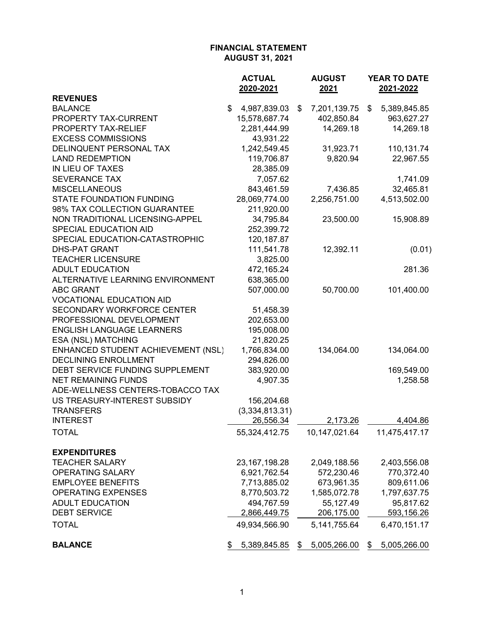|                                    | <b>ACTUAL</b>      | <b>AUGUST</b>      | YEAR TO DATE       |
|------------------------------------|--------------------|--------------------|--------------------|
|                                    | 2020-2021          | 2021               | 2021-2022          |
| <b>REVENUES</b>                    |                    |                    |                    |
| <b>BALANCE</b>                     | \$<br>4,987,839.03 | \$<br>7,201,139.75 | \$<br>5,389,845.85 |
| PROPERTY TAX-CURRENT               | 15,578,687.74      | 402,850.84         | 963,627.27         |
| PROPERTY TAX-RELIEF                | 2,281,444.99       | 14,269.18          | 14,269.18          |
| <b>EXCESS COMMISSIONS</b>          | 43,931.22          |                    |                    |
| DELINQUENT PERSONAL TAX            | 1,242,549.45       | 31,923.71          | 110,131.74         |
| <b>LAND REDEMPTION</b>             | 119,706.87         | 9,820.94           | 22,967.55          |
| IN LIEU OF TAXES                   | 28,385.09          |                    |                    |
| <b>SEVERANCE TAX</b>               | 7,057.62           |                    | 1,741.09           |
| <b>MISCELLANEOUS</b>               | 843,461.59         | 7,436.85           | 32,465.81          |
| <b>STATE FOUNDATION FUNDING</b>    | 28,069,774.00      | 2,256,751.00       | 4,513,502.00       |
| 98% TAX COLLECTION GUARANTEE       | 211,920.00         |                    |                    |
| NON TRADITIONAL LICENSING-APPEL    | 34,795.84          | 23,500.00          | 15,908.89          |
| SPECIAL EDUCATION AID              | 252,399.72         |                    |                    |
| SPECIAL EDUCATION-CATASTROPHIC     | 120, 187.87        |                    |                    |
| <b>DHS-PAT GRANT</b>               | 111,541.78         | 12,392.11          | (0.01)             |
| <b>TEACHER LICENSURE</b>           | 3,825.00           |                    |                    |
| <b>ADULT EDUCATION</b>             | 472,165.24         |                    | 281.36             |
| ALTERNATIVE LEARNING ENVIRONMENT   | 638,365.00         |                    |                    |
| <b>ABC GRANT</b>                   | 507,000.00         | 50,700.00          | 101,400.00         |
| <b>VOCATIONAL EDUCATION AID</b>    |                    |                    |                    |
| <b>SECONDARY WORKFORCE CENTER</b>  | 51,458.39          |                    |                    |
| PROFESSIONAL DEVELOPMENT           | 202,653.00         |                    |                    |
| <b>ENGLISH LANGUAGE LEARNERS</b>   | 195,008.00         |                    |                    |
| ESA (NSL) MATCHING                 | 21,820.25          |                    |                    |
| ENHANCED STUDENT ACHIEVEMENT (NSL) | 1,766,834.00       | 134,064.00         | 134,064.00         |
| <b>DECLINING ENROLLMENT</b>        | 294,826.00         |                    |                    |
| DEBT SERVICE FUNDING SUPPLEMENT    | 383,920.00         |                    | 169,549.00         |
| <b>NET REMAINING FUNDS</b>         | 4,907.35           |                    | 1,258.58           |
| ADE-WELLNESS CENTERS-TOBACCO TAX   |                    |                    |                    |
| US TREASURY-INTEREST SUBSIDY       | 156,204.68         |                    |                    |
| <b>TRANSFERS</b>                   | (3,334,813.31)     |                    |                    |
| <b>INTEREST</b>                    | 26,556.34          | 2,173.26           | 4,404.86           |
| <b>TOTAL</b>                       | 55,324,412.75      | 10,147,021.64      | 11,475,417.17      |
| <b>EXPENDITURES</b>                |                    |                    |                    |
| <b>TEACHER SALARY</b>              | 23, 167, 198. 28   | 2,049,188.56       | 2,403,556.08       |
| <b>OPERATING SALARY</b>            | 6,921,762.54       | 572,230.46         | 770,372.40         |
| <b>EMPLOYEE BENEFITS</b>           | 7,713,885.02       | 673,961.35         | 809,611.06         |
| <b>OPERATING EXPENSES</b>          | 8,770,503.72       | 1,585,072.78       | 1,797,637.75       |
| <b>ADULT EDUCATION</b>             | 494,767.59         | 55,127.49          | 95,817.62          |
| <b>DEBT SERVICE</b>                | 2,866,449.75       | 206,175.00         | 593,156.26         |
| <b>TOTAL</b>                       | 49,934,566.90      | 5, 141, 755. 64    | 6,470,151.17       |
| <b>BALANCE</b>                     | \$<br>5,389,845.85 | \$<br>5,005,266.00 | \$<br>5,005,266.00 |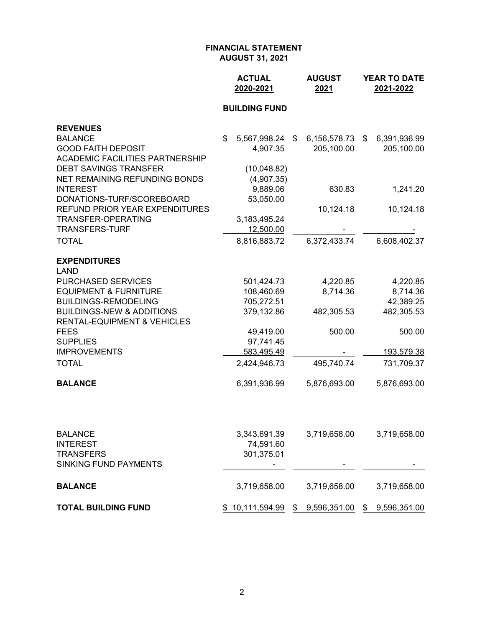|                                                                                | <b>ACTUAL</b><br>2020-2021 | <b>AUGUST</b><br>2021 | YEAR TO DATE<br>2021-2022 |              |  |
|--------------------------------------------------------------------------------|----------------------------|-----------------------|---------------------------|--------------|--|
|                                                                                | <b>BUILDING FUND</b>       |                       |                           |              |  |
| <b>REVENUES</b>                                                                |                            |                       |                           |              |  |
| <b>BALANCE</b>                                                                 | \$<br>5,567,998.24 \$      | 6,156,578.73          | \$                        | 6,391,936.99 |  |
| <b>GOOD FAITH DEPOSIT</b>                                                      | 4,907.35                   | 205,100.00            |                           | 205,100.00   |  |
| <b>ACADEMIC FACILITIES PARTNERSHIP</b>                                         |                            |                       |                           |              |  |
| <b>DEBT SAVINGS TRANSFER</b>                                                   | (10,048.82)                |                       |                           |              |  |
| NET REMAINING REFUNDING BONDS                                                  | (4,907.35)                 |                       |                           |              |  |
| <b>INTEREST</b><br>DONATIONS-TURF/SCOREBOARD                                   | 9,889.06<br>53,050.00      | 630.83                |                           | 1,241.20     |  |
| REFUND PRIOR YEAR EXPENDITURES                                                 |                            | 10,124.18             |                           | 10,124.18    |  |
| TRANSFER-OPERATING                                                             | 3, 183, 495. 24            |                       |                           |              |  |
| <b>TRANSFERS-TURF</b>                                                          | 12,500.00                  |                       |                           |              |  |
| <b>TOTAL</b>                                                                   | 8,816,883.72               | 6,372,433.74          |                           | 6,608,402.37 |  |
| <b>EXPENDITURES</b>                                                            |                            |                       |                           |              |  |
| LAND                                                                           |                            |                       |                           |              |  |
| PURCHASED SERVICES                                                             | 501,424.73                 | 4,220.85              |                           | 4,220.85     |  |
| <b>EQUIPMENT &amp; FURNITURE</b>                                               | 108,460.69                 | 8,714.36              |                           | 8,714.36     |  |
| <b>BUILDINGS-REMODELING</b>                                                    | 705,272.51                 |                       |                           | 42,389.25    |  |
| <b>BUILDINGS-NEW &amp; ADDITIONS</b><br><b>RENTAL-EQUIPMENT &amp; VEHICLES</b> | 379,132.86                 | 482,305.53            |                           | 482,305.53   |  |
| <b>FEES</b>                                                                    | 49,419.00                  | 500.00                |                           | 500.00       |  |
| <b>SUPPLIES</b>                                                                | 97,741.45                  |                       |                           |              |  |
| <b>IMPROVEMENTS</b>                                                            | 583,495.49                 |                       |                           | 193,579.38   |  |
| <b>TOTAL</b>                                                                   | 2,424,946.73               | 495,740.74            |                           | 731,709.37   |  |
| <b>BALANCE</b>                                                                 | 6,391,936.99               | 5,876,693.00          |                           | 5,876,693.00 |  |
|                                                                                |                            |                       |                           |              |  |
| BALANCE                                                                        | 3,343,691.39               | 3,719,658.00          |                           | 3,719,658.00 |  |
| <b>INTEREST</b>                                                                | 74,591.60                  |                       |                           |              |  |
| <b>TRANSFERS</b><br>SINKING FUND PAYMENTS                                      | 301,375.01                 |                       |                           |              |  |
| <b>BALANCE</b>                                                                 | 3,719,658.00               | 3,719,658.00          |                           | 3,719,658.00 |  |
| <b>TOTAL BUILDING FUND</b>                                                     | \$10,111,594.99            | \$<br>9,596,351.00    | \$                        | 9,596,351.00 |  |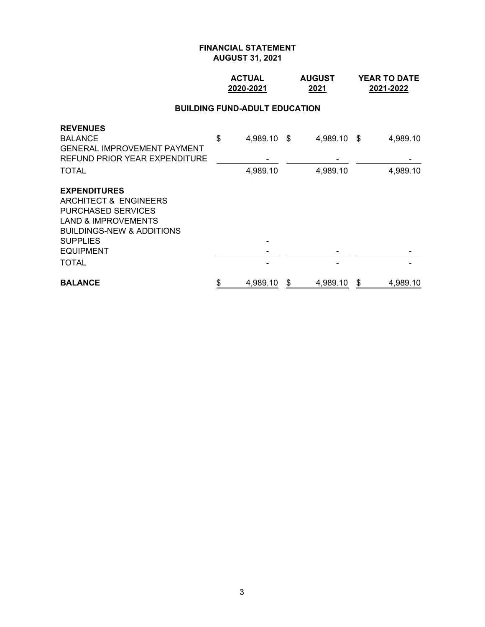#### **ACTUAL AUGUST YEAR TO DATE 2020-2021 2021 2021-2022**

### **BUILDING FUND-ADULT EDUCATION**

| <b>REVENUES</b><br><b>BALANCE</b><br><b>GENERAL IMPROVEMENT PAYMENT</b><br>REFUND PRIOR YEAR EXPENDITURE | \$<br>4,989.10 \$ | 4,989.10 \$    |    | 4,989.10 |
|----------------------------------------------------------------------------------------------------------|-------------------|----------------|----|----------|
| <b>TOTAL</b>                                                                                             | 4,989.10          | 4,989.10       |    | 4,989.10 |
| <b>EXPENDITURES</b>                                                                                      |                   |                |    |          |
| <b>ARCHITECT &amp; ENGINEERS</b>                                                                         |                   |                |    |          |
| <b>PURCHASED SERVICES</b>                                                                                |                   |                |    |          |
| <b>LAND &amp; IMPROVEMENTS</b>                                                                           |                   |                |    |          |
| <b>BUILDINGS-NEW &amp; ADDITIONS</b>                                                                     |                   |                |    |          |
| <b>SUPPLIES</b>                                                                                          |                   |                |    |          |
| <b>EQUIPMENT</b>                                                                                         |                   |                |    |          |
| <b>TOTAL</b>                                                                                             |                   |                |    |          |
| <b>BALANCE</b>                                                                                           | \$<br>4,989.10    | \$<br>4,989.10 | -S | 4,989.10 |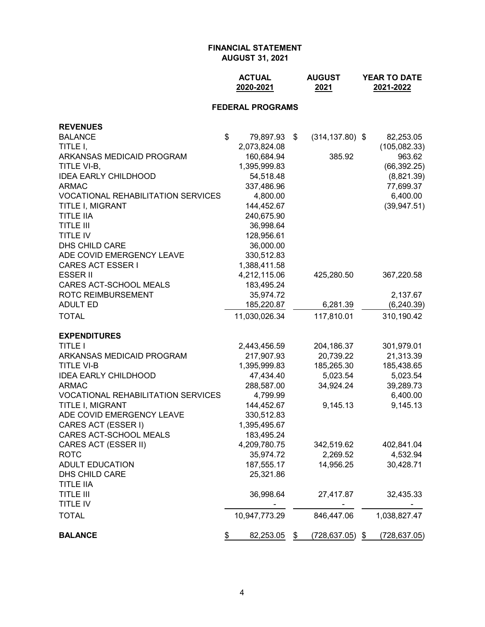## **ACTUAL AUGUST YEAR TO DATE 2020-2021 2021 2021-2022**

# **FEDERAL PROGRAMS**

| <b>REVENUES</b>                           |                 |                          |               |
|-------------------------------------------|-----------------|--------------------------|---------------|
| <b>BALANCE</b>                            | \$<br>79,897.93 | \$<br>$(314, 137.80)$ \$ | 82,253.05     |
| TITLE I,                                  | 2,073,824.08    |                          | (105, 082.33) |
| ARKANSAS MEDICAID PROGRAM                 | 160,684.94      | 385.92                   | 963.62        |
| TITLE VI-B,                               | 1,395,999.83    |                          | (66, 392.25)  |
| <b>IDEA EARLY CHILDHOOD</b>               | 54,518.48       |                          | (8,821.39)    |
| <b>ARMAC</b>                              | 337,486.96      |                          | 77,699.37     |
| <b>VOCATIONAL REHABILITATION SERVICES</b> | 4,800.00        |                          | 6,400.00      |
| TITLE I, MIGRANT                          | 144,452.67      |                          | (39, 947.51)  |
| <b>TITLE IIA</b>                          | 240,675.90      |                          |               |
| <b>TITLE III</b>                          | 36,998.64       |                          |               |
| <b>TITLE IV</b>                           | 128,956.61      |                          |               |
| DHS CHILD CARE                            | 36,000.00       |                          |               |
| ADE COVID EMERGENCY LEAVE                 | 330,512.83      |                          |               |
| <b>CARES ACT ESSER I</b>                  | 1,388,411.58    |                          |               |
| <b>ESSER II</b>                           | 4,212,115.06    | 425,280.50               | 367,220.58    |
| CARES ACT-SCHOOL MEALS                    | 183,495.24      |                          |               |
| ROTC REIMBURSEMENT                        | 35,974.72       |                          | 2,137.67      |
| <b>ADULT ED</b>                           | 185,220.87      | 6,281.39                 | (6, 240.39)   |
| <b>TOTAL</b>                              | 11,030,026.34   | 117,810.01               | 310,190.42    |
| <b>EXPENDITURES</b>                       |                 |                          |               |
| <b>TITLE I</b>                            | 2,443,456.59    | 204,186.37               | 301,979.01    |
| ARKANSAS MEDICAID PROGRAM                 | 217,907.93      | 20,739.22                | 21,313.39     |
| <b>TITLE VI-B</b>                         | 1,395,999.83    | 185,265.30               | 185,438.65    |
| <b>IDEA EARLY CHILDHOOD</b>               | 47,434.40       | 5,023.54                 | 5,023.54      |
| <b>ARMAC</b>                              | 288,587.00      | 34,924.24                | 39,289.73     |
| <b>VOCATIONAL REHABILITATION SERVICES</b> | 4,799.99        |                          | 6,400.00      |
| TITLE I, MIGRANT                          | 144,452.67      | 9,145.13                 | 9,145.13      |
| ADE COVID EMERGENCY LEAVE                 | 330,512.83      |                          |               |
| CARES ACT (ESSER I)                       | 1,395,495.67    |                          |               |
| CARES ACT-SCHOOL MEALS                    | 183,495.24      |                          |               |
| CARES ACT (ESSER II)                      | 4,209,780.75    | 342,519.62               | 402,841.04    |
| <b>ROTC</b>                               | 35,974.72       | 2,269.52                 | 4,532.94      |
| <b>ADULT EDUCATION</b>                    | 187,555.17      | 14,956.25                | 30,428.71     |
| DHS CHILD CARE                            | 25,321.86       |                          |               |
| <b>TITLE IIA</b>                          |                 |                          |               |
| <b>TITLE III</b>                          | 36,998.64       | 27,417.87                | 32,435.33     |
| TITLE IV                                  |                 |                          |               |
| <b>TOTAL</b>                              | 10,947,773.29   | 846,447.06               | 1,038,827.47  |
| <b>BALANCE</b>                            | \$<br>82,253.05 | \$<br>$(728, 637.05)$ \$ | (728, 637.05) |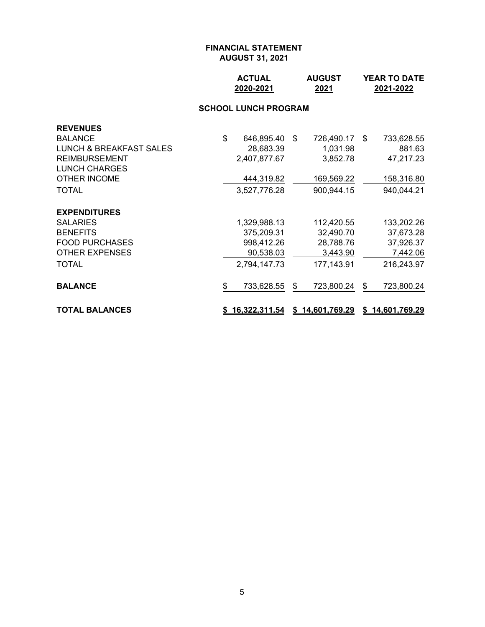| <b>ACTUAL</b> | <b>AUGUST</b> | <b>YEAR TO DATE</b> |
|---------------|---------------|---------------------|
| 2020-2021     | 2021          | 2021-2022           |

### **SCHOOL LUNCH PROGRAM**

| <b>REVENUES</b>                    |                     |                  |    |                 |
|------------------------------------|---------------------|------------------|----|-----------------|
| <b>BALANCE</b>                     | \$<br>646,895.40 \$ | 726,490.17       | -S | 733,628.55      |
| <b>LUNCH &amp; BREAKFAST SALES</b> | 28,683.39           | 1,031.98         |    | 881.63          |
| <b>REIMBURSEMENT</b>               | 2,407,877.67        | 3,852.78         |    | 47,217.23       |
| <b>LUNCH CHARGES</b>               |                     |                  |    |                 |
| <b>OTHER INCOME</b>                | 444,319.82          | 169,569.22       |    | 158,316.80      |
| <b>TOTAL</b>                       | 3,527,776.28        | 900,944.15       |    | 940,044.21      |
| <b>EXPENDITURES</b>                |                     |                  |    |                 |
| <b>SALARIES</b>                    | 1,329,988.13        | 112,420.55       |    | 133,202.26      |
| <b>BENEFITS</b>                    | 375,209.31          | 32,490.70        |    | 37,673.28       |
| <b>FOOD PURCHASES</b>              | 998,412.26          | 28,788.76        |    | 37,926.37       |
| <b>OTHER EXPENSES</b>              | 90,538.03           | 3,443.90         |    | 7,442.06        |
| TOTAL                              | 2,794,147.73        | 177,143.91       |    | 216,243.97      |
| <b>BALANCE</b>                     | \$<br>733,628.55    | \$<br>723,800.24 | \$ | 723,800.24      |
| <b>TOTAL BALANCES</b>              | \$16,322,311.54     | \$14,601,769.29  |    | \$14,601,769.29 |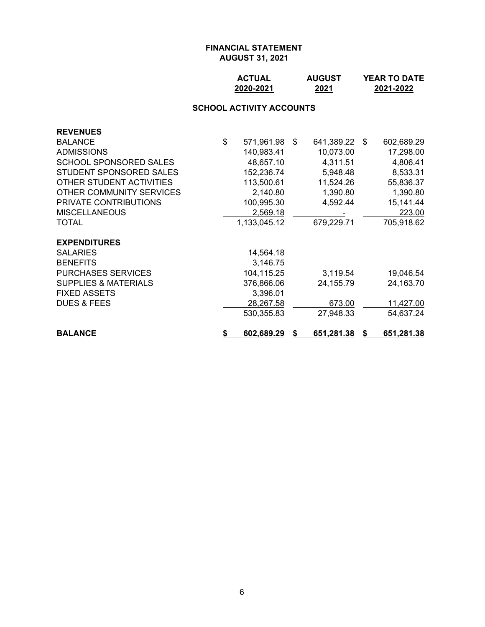#### **ACTUAL AUGUST YEAR TO DATE 2020-2021 2021 2021-2022**

#### **SCHOOL ACTIVITY ACCOUNTS**

| <b>REVENUES</b>                 |                  |    |               |   |            |
|---------------------------------|------------------|----|---------------|---|------------|
| <b>BALANCE</b>                  | \$<br>571,961.98 | \$ | 641,389.22 \$ |   | 602,689.29 |
| <b>ADMISSIONS</b>               | 140,983.41       |    | 10,073.00     |   | 17,298.00  |
| <b>SCHOOL SPONSORED SALES</b>   | 48,657.10        |    | 4,311.51      |   | 4,806.41   |
| STUDENT SPONSORED SALES         | 152,236.74       |    | 5,948.48      |   | 8,533.31   |
| OTHER STUDENT ACTIVITIES        | 113,500.61       |    | 11,524.26     |   | 55,836.37  |
| OTHER COMMUNITY SERVICES        | 2,140.80         |    | 1,390.80      |   | 1,390.80   |
| PRIVATE CONTRIBUTIONS           | 100,995.30       |    | 4,592.44      |   | 15,141.44  |
| <b>MISCELLANEOUS</b>            | 2,569.18         |    |               |   | 223.00     |
| TOTAL                           | 1,133,045.12     |    | 679,229.71    |   | 705,918.62 |
| <b>EXPENDITURES</b>             |                  |    |               |   |            |
| <b>SALARIES</b>                 | 14,564.18        |    |               |   |            |
| <b>BENEFITS</b>                 | 3,146.75         |    |               |   |            |
| <b>PURCHASES SERVICES</b>       | 104,115.25       |    | 3,119.54      |   | 19,046.54  |
| <b>SUPPLIES &amp; MATERIALS</b> | 376,866.06       |    | 24,155.79     |   | 24,163.70  |
| <b>FIXED ASSETS</b>             | 3,396.01         |    |               |   |            |
| <b>DUES &amp; FEES</b>          | 28,267.58        |    | 673.00        |   | 11,427.00  |
|                                 | 530,355.83       |    | 27,948.33     |   | 54,637.24  |
| <b>BALANCE</b>                  | \$<br>602,689.29 | S  | 651,281.38    | S | 651,281.38 |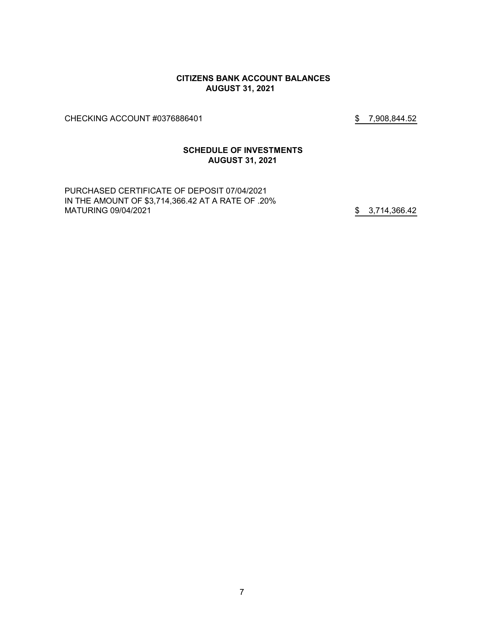#### **CITIZENS BANK ACCOUNT BALANCES AUGUST 31, 2021**

CHECKING ACCOUNT #0376886401 \$7,908,844.52

#### **SCHEDULE OF INVESTMENTS AUGUST 31, 2021**

PURCHASED CERTIFICATE OF DEPOSIT 07/04/2021 IN THE AMOUNT OF \$3,714,366.42 AT A RATE OF .20% MATURING 09/04/2021 **\$** 3,714,366.42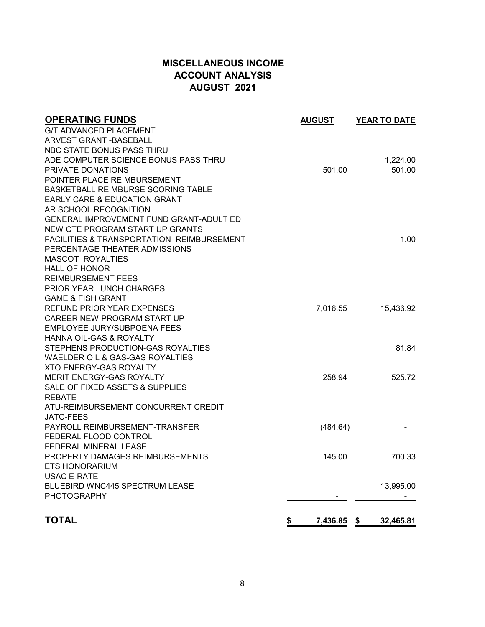# **MISCELLANEOUS INCOME ACCOUNT ANALYSIS AUGUST 2021**

| <b>OPERATING FUNDS</b>                               | <b>AUGUST</b>  | <b>YEAR TO DATE</b> |
|------------------------------------------------------|----------------|---------------------|
| <b>G/T ADVANCED PLACEMENT</b>                        |                |                     |
| ARVEST GRANT - BASEBALL                              |                |                     |
| NBC STATE BONUS PASS THRU                            |                |                     |
| ADE COMPUTER SCIENCE BONUS PASS THRU                 |                | 1,224.00            |
| PRIVATE DONATIONS                                    | 501.00         | 501.00              |
| POINTER PLACE REIMBURSEMENT                          |                |                     |
| BASKETBALL REIMBURSE SCORING TABLE                   |                |                     |
| <b>EARLY CARE &amp; EDUCATION GRANT</b>              |                |                     |
| AR SCHOOL RECOGNITION                                |                |                     |
| <b>GENERAL IMPROVEMENT FUND GRANT-ADULT ED</b>       |                |                     |
| NEW CTE PROGRAM START UP GRANTS                      |                |                     |
| <b>FACILITIES &amp; TRANSPORTATION REIMBURSEMENT</b> |                | 1.00                |
| PERCENTAGE THEATER ADMISSIONS                        |                |                     |
| <b>MASCOT ROYALTIES</b>                              |                |                     |
| <b>HALL OF HONOR</b>                                 |                |                     |
| <b>REIMBURSEMENT FEES</b>                            |                |                     |
| <b>PRIOR YEAR LUNCH CHARGES</b>                      |                |                     |
| <b>GAME &amp; FISH GRANT</b>                         |                |                     |
| <b>REFUND PRIOR YEAR EXPENSES</b>                    | 7,016.55       | 15,436.92           |
| CAREER NEW PROGRAM START UP                          |                |                     |
| <b>EMPLOYEE JURY/SUBPOENA FEES</b>                   |                |                     |
| HANNA OIL-GAS & ROYALTY                              |                |                     |
| STEPHENS PRODUCTION-GAS ROYALTIES                    |                | 81.84               |
| WAELDER OIL & GAS-GAS ROYALTIES                      |                |                     |
| <b>XTO ENERGY-GAS ROYALTY</b>                        |                |                     |
| <b>MERIT ENERGY-GAS ROYALTY</b>                      | 258.94         | 525.72              |
| SALE OF FIXED ASSETS & SUPPLIES                      |                |                     |
| <b>REBATE</b>                                        |                |                     |
| ATU-REIMBURSEMENT CONCURRENT CREDIT                  |                |                     |
| <b>JATC-FEES</b>                                     |                |                     |
| PAYROLL REIMBURSEMENT-TRANSFER                       | (484.64)       |                     |
| FEDERAL FLOOD CONTROL                                |                |                     |
| <b>FEDERAL MINERAL LEASE</b>                         |                |                     |
| PROPERTY DAMAGES REIMBURSEMENTS                      | 145.00         | 700.33              |
| <b>ETS HONORARIUM</b>                                |                |                     |
| <b>USAC E-RATE</b>                                   |                |                     |
| BLUEBIRD WNC445 SPECTRUM LEASE                       |                | 13,995.00           |
| <b>PHOTOGRAPHY</b>                                   |                |                     |
| <b>TOTAL</b>                                         | \$<br>7,436.85 | \$<br>32,465.81     |
|                                                      |                |                     |